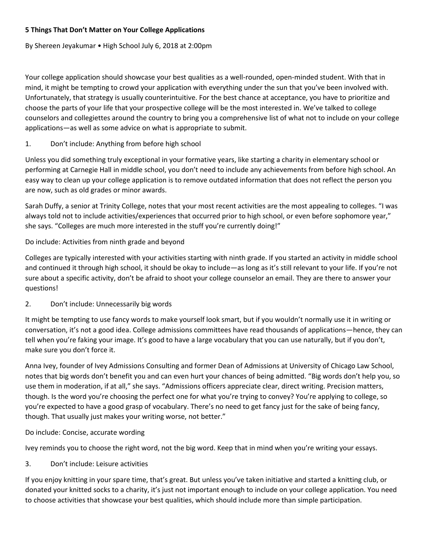# **5 Things That Don't Matter on Your College Applications**

By Shereen Jeyakumar • High School July 6, 2018 at 2:00pm

Your college application should showcase your best qualities as a well-rounded, open-minded student. With that in mind, it might be tempting to crowd your application with everything under the sun that you've been involved with. Unfortunately, that strategy is usually counterintuitive. For the best chance at acceptance, you have to prioritize and choose the parts of your life that your prospective college will be the most interested in. We've talked to college counselors and collegiettes around the country to bring you a comprehensive list of what not to include on your college applications—as well as some advice on what is appropriate to submit.

## 1. Don't include: Anything from before high school

Unless you did something truly exceptional in your formative years, like starting a charity in elementary school or performing at Carnegie Hall in middle school, you don't need to include any achievements from before high school. An easy way to clean up your college application is to remove outdated information that does not reflect the person you are now, such as old grades or minor awards.

Sarah Duffy, a senior at Trinity College, notes that your most recent activities are the most appealing to colleges. "I was always told not to include activities/experiences that occurred prior to high school, or even before sophomore year," she says. "Colleges are much more interested in the stuff you're currently doing!"

### Do include: Activities from ninth grade and beyond

Colleges are typically interested with your activities starting with ninth grade. If you started an activity in middle school and continued it through high school, it should be okay to include—as long as it's still relevant to your life. If you're not sure about a specific activity, don't be afraid to shoot your college counselor an email. They are there to answer your questions!

## 2. Don't include: Unnecessarily big words

It might be tempting to use fancy words to make yourself look smart, but if you wouldn't normally use it in writing or conversation, it's not a good idea. College admissions committees have read thousands of applications—hence, they can tell when you're faking your image. It's good to have a large vocabulary that you can use naturally, but if you don't, make sure you don't force it.

Anna Ivey, founder of Ivey Admissions Consulting and former Dean of Admissions at University of Chicago Law School, notes that big words don't benefit you and can even hurt your chances of being admitted. "Big words don't help you, so use them in moderation, if at all," she says. "Admissions officers appreciate clear, direct writing. Precision matters, though. Is the word you're choosing the perfect one for what you're trying to convey? You're applying to college, so you're expected to have a good grasp of vocabulary. There's no need to get fancy just for the sake of being fancy, though. That usually just makes your writing worse, not better."

## Do include: Concise, accurate wording

Ivey reminds you to choose the right word, not the big word. Keep that in mind when you're writing your essays.

## 3. Don't include: Leisure activities

If you enjoy knitting in your spare time, that's great. But unless you've taken initiative and started a knitting club, or donated your knitted socks to a charity, it's just not important enough to include on your college application. You need to choose activities that showcase your best qualities, which should include more than simple participation.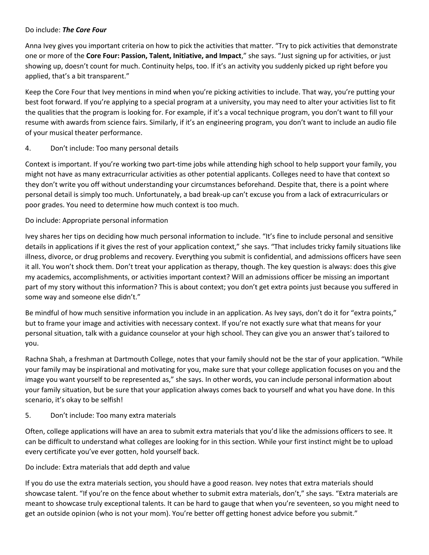### Do include: *The Core Four*

Anna Ivey gives you important criteria on how to pick the activities that matter. "Try to pick activities that demonstrate one or more of the **Core Four: Passion, Talent, Initiative, and Impact**," she says. "Just signing up for activities, or just showing up, doesn't count for much. Continuity helps, too. If it's an activity you suddenly picked up right before you applied, that's a bit transparent."

Keep the Core Four that Ivey mentions in mind when you're picking activities to include. That way, you're putting your best foot forward. If you're applying to a special program at a university, you may need to alter your activities list to fit the qualities that the program is looking for. For example, if it's a vocal technique program, you don't want to fill your resume with awards from science fairs. Similarly, if it's an engineering program, you don't want to include an audio file of your musical theater performance.

## 4. Don't include: Too many personal details

Context is important. If you're working two part-time jobs while attending high school to help support your family, you might not have as many extracurricular activities as other potential applicants. Colleges need to have that context so they don't write you off without understanding your circumstances beforehand. Despite that, there is a point where personal detail is simply too much. Unfortunately, a bad break-up can't excuse you from a lack of extracurriculars or poor grades. You need to determine how much context is too much.

### Do include: Appropriate personal information

Ivey shares her tips on deciding how much personal information to include. "It's fine to include personal and sensitive details in applications if it gives the rest of your application context," she says. "That includes tricky family situations like illness, divorce, or drug problems and recovery. Everything you submit is confidential, and admissions officers have seen it all. You won't shock them. Don't treat your application as therapy, though. The key question is always: does this give my academics, accomplishments, or activities important context? Will an admissions officer be missing an important part of my story without this information? This is about context; you don't get extra points just because you suffered in some way and someone else didn't."

Be mindful of how much sensitive information you include in an application. As Ivey says, don't do it for "extra points," but to frame your image and activities with necessary context. If you're not exactly sure what that means for your personal situation, talk with a guidance counselor at your high school. They can give you an answer that's tailored to you.

Rachna Shah, a freshman at Dartmouth College, notes that your family should not be the star of your application. "While your family may be inspirational and motivating for you, make sure that your college application focuses on you and the image you want yourself to be represented as," she says. In other words, you can include personal information about your family situation, but be sure that your application always comes back to yourself and what you have done. In this scenario, it's okay to be selfish!

#### 5. Don't include: Too many extra materials

Often, college applications will have an area to submit extra materials that you'd like the admissions officers to see. It can be difficult to understand what colleges are looking for in this section. While your first instinct might be to upload every certificate you've ever gotten, hold yourself back.

#### Do include: Extra materials that add depth and value

If you do use the extra materials section, you should have a good reason. Ivey notes that extra materials should showcase talent. "If you're on the fence about whether to submit extra materials, don't," she says. "Extra materials are meant to showcase truly exceptional talents. It can be hard to gauge that when you're seventeen, so you might need to get an outside opinion (who is not your mom). You're better off getting honest advice before you submit."